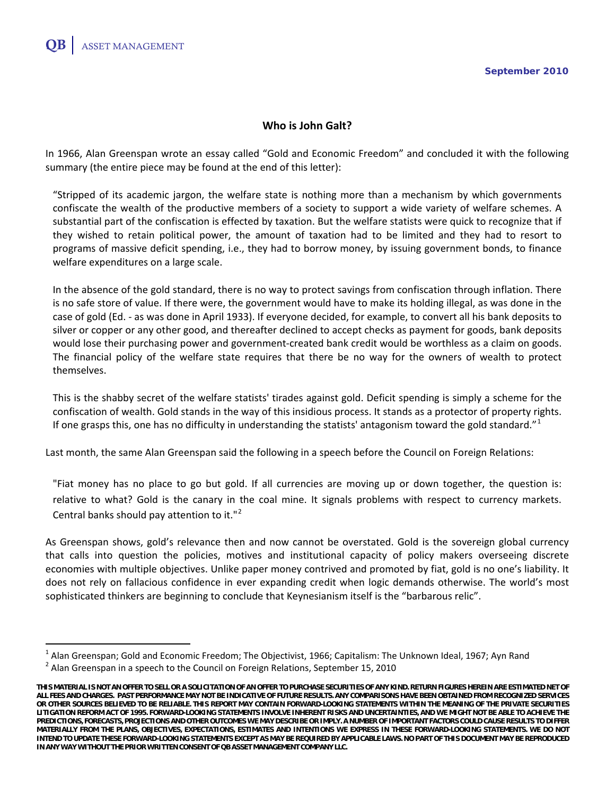# **Who is John Galt?**

In 1966, Alan Greenspan wrote an essay called "Gold and Economic Freedom" and concluded it with the following summary (the entire piece may be found at the end of this letter):

"Stripped of its academic jargon, the welfare state is nothing more than a mechanism by which governments confiscate the wealth of the productive members of a society to support a wide variety of welfare schemes. A substantial part of the confiscation is effected by taxation. But the welfare statists were quick to recognize that if they wished to retain political power, the amount of taxation had to be limited and they had to resort to programs of massive deficit spending, i.e., they had to borrow money, by issuing government bonds, to finance welfare expenditures on a large scale.

In the absence of the gold standard, there is no way to protect savings from confiscation through inflation. There is no safe store of value. If there were, the government would have to make its holding illegal, as was done in the case of gold (Ed. - as was done in April 1933). If everyone decided, for example, to convert all his bank deposits to silver or copper or any other good, and thereafter declined to accept checks as payment for goods, bank deposits would lose their purchasing power and government-created bank credit would be worthless as a claim on goods. The financial policy of the welfare state requires that there be no way for the owners of wealth to protect themselves.

This is the shabby secret of the welfare statists' tirades against gold. Deficit spending is simply a scheme for the confiscation of wealth. Gold stands in the way of this insidious process. It stands as a protector of property rights. If one grasps this, one has no difficulty in understanding the statists' antagonism toward the gold standard." $1$ 

Last month, the same Alan Greenspan said the following in a speech before the Council on Foreign Relations:

"Fiat money has no place to go but gold. If all currencies are moving up or down together, the question is: relative to what? Gold is the canary in the coal mine. It signals problems with respect to currency markets. Central banks should pay attention to it."[2](#page-0-1)

As Greenspan shows, gold's relevance then and now cannot be overstated. Gold is the sovereign global currency that calls into question the policies, motives and institutional capacity of policy makers overseeing discrete economies with multiple objectives. Unlike paper money contrived and promoted by fiat, gold is no one's liability. It does not rely on fallacious confidence in ever expanding credit when logic demands otherwise. The world's most sophisticated thinkers are beginning to conclude that Keynesianism itself is the "barbarous relic".

<span id="page-0-0"></span><sup>&</sup>lt;sup>1</sup> Alan Greenspan; Gold and Economic Freedom; The Objectivist, 1966; Capitalism: The Unknown Ideal, 1967; Ayn Rand<br><sup>2</sup> Alan Greenspan in a speech to the Council on Foreign Relations, September 15, 2010

<span id="page-0-1"></span>**THIS MATERIAL IS NOTAN OFFER TO SELL OR A SOLICITATION OF AN OFFER TO PURCHASESECURITIES OF ANY KIND. RETURN FIGURES HEREIN ARE ESTIMATED NET OF ALL FEES AND CHARGES. PAST PERFORMANCE MAY NOT BE INDICATIVE OF FUTURE RESULTS.ANY COMPARISONS HAVEBEEN OBTAINED FROM RECOGNIZED SERVICES OR OTHER SOURCES BELIEVED TO BE RELIABLE. THIS REPORT MAY CONTAIN FORWARD-LOOKING STATEMENTS WITHIN THE MEANING OFTHE PRIVATE SECURITIES LITIGATION REFORM ACT OF 1995. FORWARD-LOOKING STATEMENTS INVOLVE INHERENT RISKS AND UNCERTAINTIES,AND WE MIGHT NOT BE ABLE TO ACHIEVE THE PREDICTIONS, FORECASTS, PROJECTIONS AND OTHEROUTCOMES WE MAY DESCRIBE OR IMPLY. A NUMBER OF IMPORTANT FACTORS COULD CAUSE RESULTS TO DIFFER MATERIALLY FROM THE PLANS, OBJECTIVES, EXPECTATIONS, ESTIMATES AND INTENTIONS WE EXPRESS IN THESE FORWARD-LOOKING STATEMENTS. WE DO NOT INTEND TO UPDATE THESE FORWARD-LOOKING STATEMENTS EXCEPT AS MAY BE REQUIRED BY APPLICABLE LAWS. NO PART OF THIS DOCUMENT MAY BE REPRODUCED IN ANY WAY WITHOUT THE PRIORWRITTEN CONSENT OF QB ASSET MANAGEMENT COMPANY LLC.**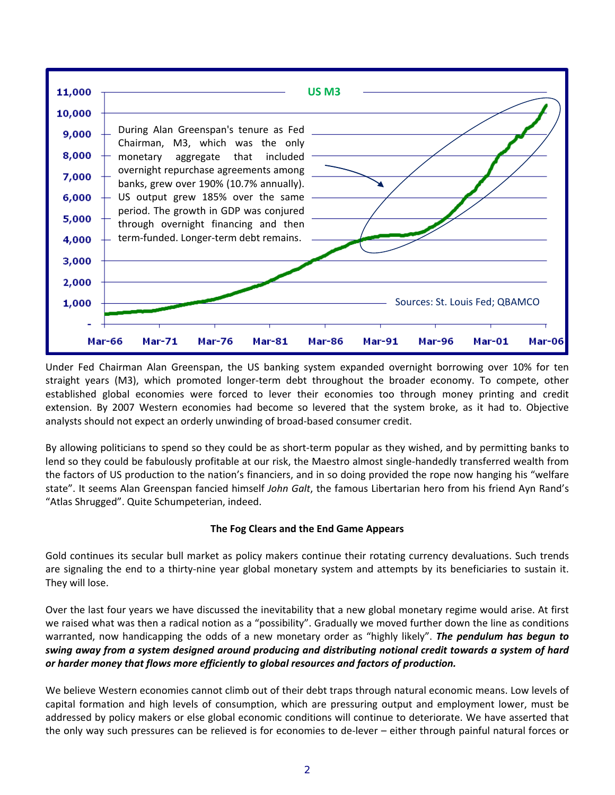

Under Fed Chairman Alan Greenspan, the US banking system expanded overnight borrowing over 10% for ten straight years (M3), which promoted longer-term debt throughout the broader economy. To compete, other established global economies were forced to lever their economies too through money printing and credit extension. By 2007 Western economies had become so levered that the system broke, as it had to. Objective analysts should not expect an orderly unwinding of broad-based consumer credit.

By allowing politicians to spend so they could be as short-term popular as they wished, and by permitting banks to lend so they could be fabulously profitable at our risk, the Maestro almost single-handedly transferred wealth from the factors of US production to the nation's financiers, and in so doing provided the rope now hanging his "welfare state". It seems Alan Greenspan fancied himself *John Galt*, the famous Libertarian hero from his friend Ayn Rand's "Atlas Shrugged". Quite Schumpeterian, indeed.

## **The Fog Clears and the End Game Appears**

Gold continues its secular bull market as policy makers continue their rotating currency devaluations. Such trends are signaling the end to a thirty-nine year global monetary system and attempts by its beneficiaries to sustain it. They will lose.

Over the last four years we have discussed the inevitability that a new global monetary regime would arise. At first we raised what was then a radical notion as a "possibility". Gradually we moved further down the line as conditions warranted, now handicapping the odds of a new monetary order as "highly likely". *The pendulum has begun to swing away from a system designed around producing and distributing notional credit towards a system of hard or harder money that flows more efficiently to global resources and factors of production.*

We believe Western economies cannot climb out of their debt traps through natural economic means. Low levels of capital formation and high levels of consumption, which are pressuring output and employment lower, must be addressed by policy makers or else global economic conditions will continue to deteriorate. We have asserted that the only way such pressures can be relieved is for economies to de-lever – either through painful natural forces or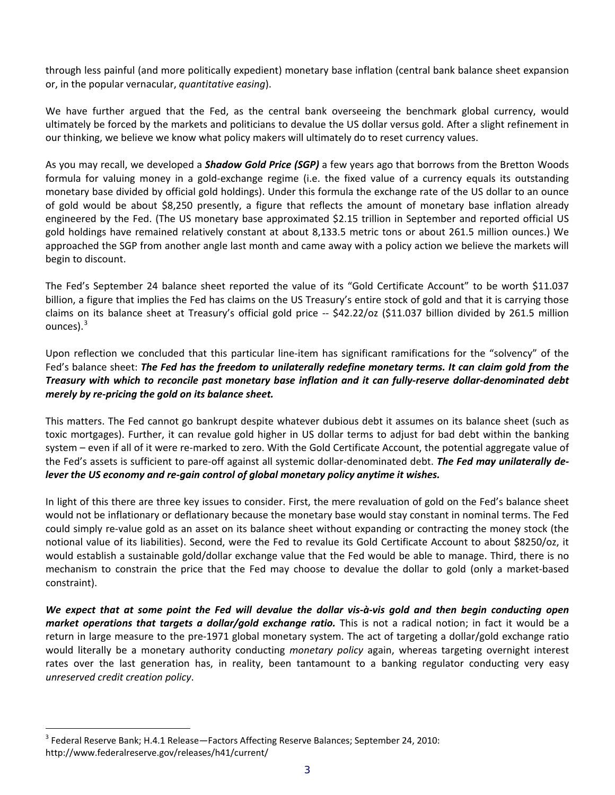through less painful (and more politically expedient) monetary base inflation (central bank balance sheet expansion or, in the popular vernacular, *quantitative easing*).

We have further argued that the Fed, as the central bank overseeing the benchmark global currency, would ultimately be forced by the markets and politicians to devalue the US dollar versus gold. After a slight refinement in our thinking, we believe we know what policy makers will ultimately do to reset currency values.

As you may recall, we developed a *Shadow Gold Price (SGP)* a few years ago that borrows from the Bretton Woods formula for valuing money in a gold-exchange regime (i.e. the fixed value of a currency equals its outstanding monetary base divided by official gold holdings). Under this formula the exchange rate of the US dollar to an ounce of gold would be about \$8,250 presently, a figure that reflects the amount of monetary base inflation already engineered by the Fed. (The US monetary base approximated \$2.15 trillion in September and reported official US gold holdings have remained relatively constant at about 8,133.5 metric tons or about 261.5 million ounces.) We approached the SGP from another angle last month and came away with a policy action we believe the markets will begin to discount.

The Fed's September 24 balance sheet reported the value of its "Gold Certificate Account" to be worth \$11.037 billion, a figure that implies the Fed has claims on the US Treasury's entire stock of gold and that it is carrying those claims on its balance sheet at Treasury's official gold price -- \$42.22/oz (\$11.037 billion divided by 261.5 million ounces). $3$ 

Upon reflection we concluded that this particular line-item has significant ramifications for the "solvency" of the Fed's balance sheet: *The Fed has the freedom to unilaterally redefine monetary terms. It can claim gold from the Treasury with which to reconcile past monetary base inflation and it can fully-reserve dollar-denominated debt merely by re-pricing the gold on its balance sheet.*

This matters. The Fed cannot go bankrupt despite whatever dubious debt it assumes on its balance sheet (such as toxic mortgages). Further, it can revalue gold higher in US dollar terms to adjust for bad debt within the banking system – even if all of it were re-marked to zero. With the Gold Certificate Account, the potential aggregate value of the Fed's assets is sufficient to pare-off against all systemic dollar-denominated debt. *The Fed may unilaterally delever the US economy and re-gain control of global monetary policy anytime it wishes.*

In light of this there are three key issues to consider. First, the mere revaluation of gold on the Fed's balance sheet would not be inflationary or deflationary because the monetary base would stay constant in nominal terms. The Fed could simply re-value gold as an asset on its balance sheet without expanding or contracting the money stock (the notional value of its liabilities). Second, were the Fed to revalue its Gold Certificate Account to about \$8250/oz, it would establish a sustainable gold/dollar exchange value that the Fed would be able to manage. Third, there is no mechanism to constrain the price that the Fed may choose to devalue the dollar to gold (only a market-based constraint).

*We expect that at some point the Fed will devalue the dollar vis-à-vis gold and then begin conducting open market operations that targets a dollar/gold exchange ratio.* This is not a radical notion; in fact it would be a return in large measure to the pre-1971 global monetary system. The act of targeting a dollar/gold exchange ratio would literally be a monetary authority conducting *monetary policy* again, whereas targeting overnight interest rates over the last generation has, in reality, been tantamount to a banking regulator conducting very easy *unreserved credit creation policy*.

<span id="page-2-0"></span><sup>&</sup>lt;sup>3</sup> Federal Reserve Bank; H.4.1 Release—Factors Affecting Reserve Balances; September 24, 2010: http://www.federalreserve.gov/releases/h41/current/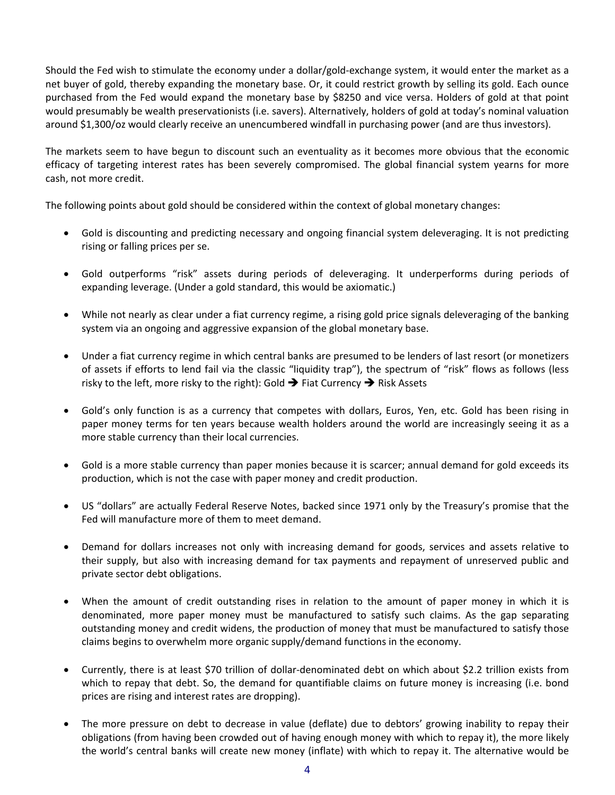Should the Fed wish to stimulate the economy under a dollar/gold-exchange system, it would enter the market as a net buyer of gold, thereby expanding the monetary base. Or, it could restrict growth by selling its gold. Each ounce purchased from the Fed would expand the monetary base by \$8250 and vice versa. Holders of gold at that point would presumably be wealth preservationists (i.e. savers). Alternatively, holders of gold at today's nominal valuation around \$1,300/oz would clearly receive an unencumbered windfall in purchasing power (and are thus investors).

The markets seem to have begun to discount such an eventuality as it becomes more obvious that the economic efficacy of targeting interest rates has been severely compromised. The global financial system yearns for more cash, not more credit.

The following points about gold should be considered within the context of global monetary changes:

- Gold is discounting and predicting necessary and ongoing financial system deleveraging. It is not predicting rising or falling prices per se.
- Gold outperforms "risk" assets during periods of deleveraging. It underperforms during periods of expanding leverage. (Under a gold standard, this would be axiomatic.)
- While not nearly as clear under a fiat currency regime, a rising gold price signals deleveraging of the banking system via an ongoing and aggressive expansion of the global monetary base.
- Under a fiat currency regime in which central banks are presumed to be lenders of last resort (or monetizers of assets if efforts to lend fail via the classic "liquidity trap"), the spectrum of "risk" flows as follows (less risky to the left, more risky to the right): Gold  $\rightarrow$  Fiat Currency  $\rightarrow$  Risk Assets
- Gold's only function is as a currency that competes with dollars, Euros, Yen, etc. Gold has been rising in paper money terms for ten years because wealth holders around the world are increasingly seeing it as a more stable currency than their local currencies.
- Gold is a more stable currency than paper monies because it is scarcer; annual demand for gold exceeds its production, which is not the case with paper money and credit production.
- US "dollars" are actually Federal Reserve Notes, backed since 1971 only by the Treasury's promise that the Fed will manufacture more of them to meet demand.
- Demand for dollars increases not only with increasing demand for goods, services and assets relative to their supply, but also with increasing demand for tax payments and repayment of unreserved public and private sector debt obligations.
- When the amount of credit outstanding rises in relation to the amount of paper money in which it is denominated, more paper money must be manufactured to satisfy such claims. As the gap separating outstanding money and credit widens, the production of money that must be manufactured to satisfy those claims begins to overwhelm more organic supply/demand functions in the economy.
- Currently, there is at least \$70 trillion of dollar-denominated debt on which about \$2.2 trillion exists from which to repay that debt. So, the demand for quantifiable claims on future money is increasing (i.e. bond prices are rising and interest rates are dropping).
- The more pressure on debt to decrease in value (deflate) due to debtors' growing inability to repay their obligations (from having been crowded out of having enough money with which to repay it), the more likely the world's central banks will create new money (inflate) with which to repay it. The alternative would be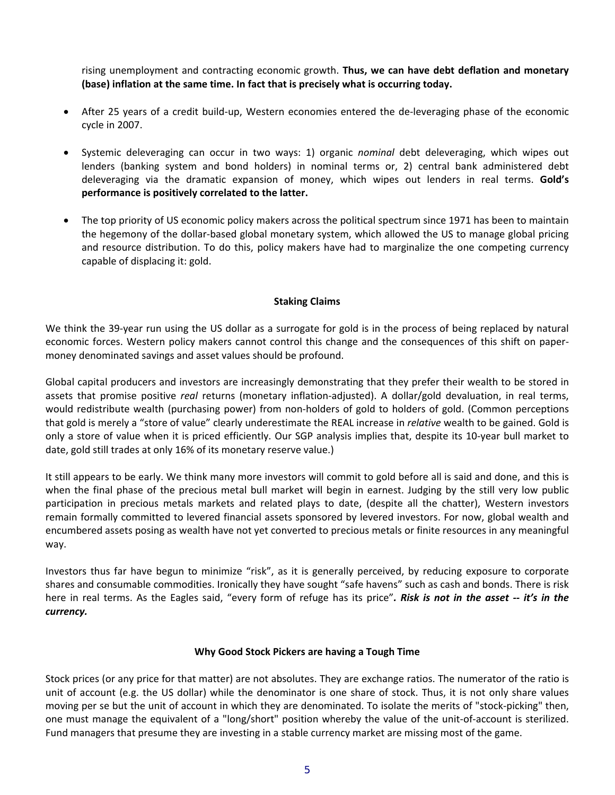rising unemployment and contracting economic growth. **Thus, we can have debt deflation and monetary (base) inflation at the same time. In fact that is precisely what is occurring today.**

- After 25 years of a credit build-up, Western economies entered the de-leveraging phase of the economic cycle in 2007.
- Systemic deleveraging can occur in two ways: 1) organic *nominal* debt deleveraging, which wipes out lenders (banking system and bond holders) in nominal terms or, 2) central bank administered debt deleveraging via the dramatic expansion of money, which wipes out lenders in real terms. **Gold's performance is positively correlated to the latter.**
- The top priority of US economic policy makers across the political spectrum since 1971 has been to maintain the hegemony of the dollar-based global monetary system, which allowed the US to manage global pricing and resource distribution. To do this, policy makers have had to marginalize the one competing currency capable of displacing it: gold.

### **Staking Claims**

We think the 39-year run using the US dollar as a surrogate for gold is in the process of being replaced by natural economic forces. Western policy makers cannot control this change and the consequences of this shift on papermoney denominated savings and asset values should be profound.

Global capital producers and investors are increasingly demonstrating that they prefer their wealth to be stored in assets that promise positive *real* returns (monetary inflation-adjusted). A dollar/gold devaluation, in real terms, would redistribute wealth (purchasing power) from non-holders of gold to holders of gold. (Common perceptions that gold is merely a "store of value" clearly underestimate the REAL increase in *relative* wealth to be gained. Gold is only a store of value when it is priced efficiently. Our SGP analysis implies that, despite its 10-year bull market to date, gold still trades at only 16% of its monetary reserve value.)

It still appears to be early. We think many more investors will commit to gold before all is said and done, and this is when the final phase of the precious metal bull market will begin in earnest. Judging by the still very low public participation in precious metals markets and related plays to date, (despite all the chatter), Western investors remain formally committed to levered financial assets sponsored by levered investors. For now, global wealth and encumbered assets posing as wealth have not yet converted to precious metals or finite resources in any meaningful way.

Investors thus far have begun to minimize "risk", as it is generally perceived, by reducing exposure to corporate shares and consumable commodities. Ironically they have sought "safe havens" such as cash and bonds. There is risk here in real terms. As the Eagles said, "every form of refuge has its price"*. Risk is not in the asset -- it's in the currency.*

#### **Why Good Stock Pickers are having a Tough Time**

Stock prices (or any price for that matter) are not absolutes. They are exchange ratios. The numerator of the ratio is unit of account (e.g. the US dollar) while the denominator is one share of stock. Thus, it is not only share values moving per se but the unit of account in which they are denominated. To isolate the merits of "stock-picking" then, one must manage the equivalent of a "long/short" position whereby the value of the unit-of-account is sterilized. Fund managers that presume they are investing in a stable currency market are missing most of the game.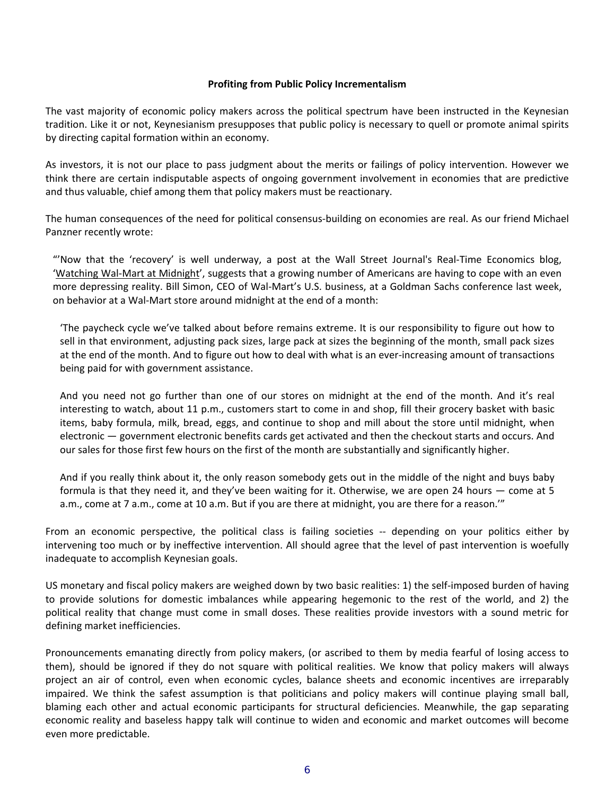### **Profiting from Public Policy Incrementalism**

The vast majority of economic policy makers across the political spectrum have been instructed in the Keynesian tradition. Like it or not, Keynesianism presupposes that public policy is necessary to quell or promote animal spirits by directing capital formation within an economy.

As investors, it is not our place to pass judgment about the merits or failings of policy intervention. However we think there are certain indisputable aspects of ongoing government involvement in economies that are predictive and thus valuable, chief among them that policy makers must be reactionary.

The human consequences of the need for political consensus-building on economies are real. As our friend Michael Panzner recently wrote:

"'Now that the 'recovery' is well underway, a post at the Wall Street Journal's Real-Time Economics blog, ['Watching Wal-Mart at Midnight',](http://blogs.wsj.com/economics/2010/09/20/watching-walmart-at-midnight/?blog_id=8&post_id=11667) suggests that a growing number of Americans are having to cope with an even more depressing reality. Bill Simon, CEO of Wal-Mart's U.S. business, at a Goldman Sachs [conference last week,](http://investors.walmartstores.com/phoenix.zhtml?c=112761&p=irol-EventDetails&EventId=3354725) on behavior at a Wal-Mart store around midnight at the end of a month:

'The paycheck cycle we've talked about before remains extreme. It is our responsibility to figure out how to sell in that environment, adjusting pack sizes, large pack at sizes the beginning of the month, small pack sizes at the end of the month. And to figure out how to deal with what is an ever-increasing amount of transactions being paid for with government assistance.

And you need not go further than one of our stores on midnight at the end of the month. And it's real interesting to watch, about 11 p.m., customers start to come in and shop, fill their grocery basket with basic items, baby formula, milk, bread, eggs, and continue to shop and mill about the store until midnight, when electronic — government electronic benefits cards get activated and then the checkout starts and occurs. And our sales for those first few hours on the first of the month are substantially and significantly higher.

And if you really think about it, the only reason somebody gets out in the middle of the night and buys baby formula is that they need it, and they've been waiting for it. Otherwise, we are open 24 hours — come at 5 a.m., come at 7 a.m., come at 10 a.m. But if you are there at midnight, you are there for a reason.'"

From an economic perspective, the political class is failing societies -- depending on your politics either by intervening too much or by ineffective intervention. All should agree that the level of past intervention is woefully inadequate to accomplish Keynesian goals.

US monetary and fiscal policy makers are weighed down by two basic realities: 1) the self-imposed burden of having to provide solutions for domestic imbalances while appearing hegemonic to the rest of the world, and 2) the political reality that change must come in small doses. These realities provide investors with a sound metric for defining market inefficiencies.

Pronouncements emanating directly from policy makers, (or ascribed to them by media fearful of losing access to them), should be ignored if they do not square with political realities. We know that policy makers will always project an air of control, even when economic cycles, balance sheets and economic incentives are irreparably impaired. We think the safest assumption is that politicians and policy makers will continue playing small ball, blaming each other and actual economic participants for structural deficiencies. Meanwhile, the gap separating economic reality and baseless happy talk will continue to widen and economic and market outcomes will become even more predictable.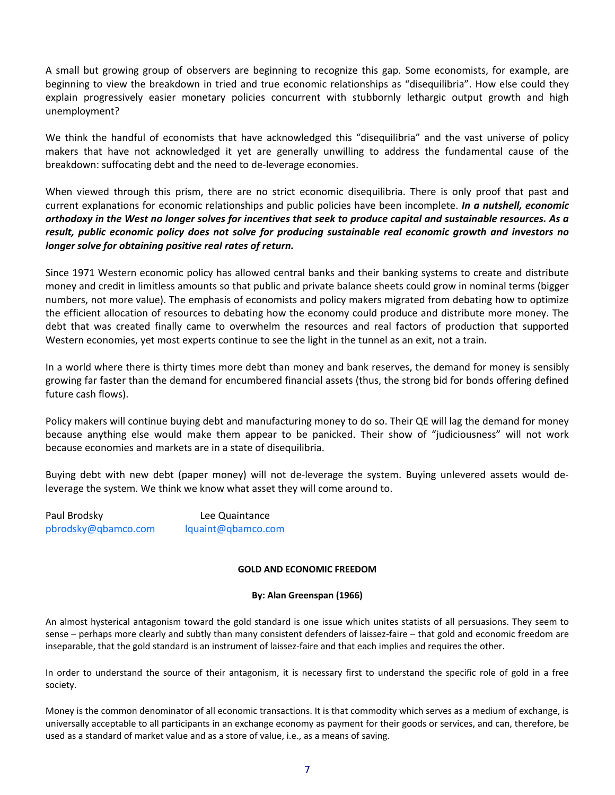A small but growing group of observers are beginning to recognize this gap. Some economists, for example, are beginning to view the breakdown in tried and true economic relationships as "disequilibria". How else could they explain progressively easier monetary policies concurrent with stubbornly lethargic output growth and high unemployment?

We think the handful of economists that have acknowledged this "disequilibria" and the vast universe of policy makers that have not acknowledged it yet are generally unwilling to address the fundamental cause of the breakdown: suffocating debt and the need to de-leverage economies.

When viewed through this prism, there are no strict economic disequilibria. There is only proof that past and current explanations for economic relationships and public policies have been incomplete. *In a nutshell, economic orthodoxy in the West no longer solves for incentives that seek to produce capital and sustainable resources. As a result, public economic policy does not solve for producing sustainable real economic growth and investors no longer solve for obtaining positive real rates of return.*

Since 1971 Western economic policy has allowed central banks and their banking systems to create and distribute money and credit in limitless amounts so that public and private balance sheets could grow in nominal terms (bigger numbers, not more value). The emphasis of economists and policy makers migrated from debating how to optimize the efficient allocation of resources to debating how the economy could produce and distribute more money. The debt that was created finally came to overwhelm the resources and real factors of production that supported Western economies, yet most experts continue to see the light in the tunnel as an exit, not a train.

In a world where there is thirty times more debt than money and bank reserves, the demand for money is sensibly growing far faster than the demand for encumbered financial assets (thus, the strong bid for bonds offering defined future cash flows).

Policy makers will continue buying debt and manufacturing money to do so. Their QE will lag the demand for money because anything else would make them appear to be panicked. Their show of "judiciousness" will not work because economies and markets are in a state of disequilibria.

Buying debt with new debt (paper money) will not de-leverage the system. Buying unlevered assets would deleverage the system. We think we know what asset they will come around to.

Paul Brodsky **Lee Quaintance** [pbrodsky@qbamco.com](mailto:pbrodsky@qbamco.com) [lquaint@qbamco.com](mailto:lquaint@qbamco.com)

#### **GOLD AND ECONOMIC FREEDOM**

#### **By: Alan Greenspan (1966)**

An almost hysterical antagonism toward the gold standard is one issue which unites statists of all persuasions. They seem to sense – perhaps more clearly and subtly than many consistent defenders of laissez-faire – that gold and economic freedom are inseparable, that the gold standard is an instrument of laissez-faire and that each implies and requires the other.

In order to understand the source of their antagonism, it is necessary first to understand the specific role of gold in a free society.

Money is the common denominator of all economic transactions. It is that commodity which serves as a medium of exchange, is universally acceptable to all participants in an exchange economy as payment for their goods or services, and can, therefore, be used as a standard of market value and as a store of value, i.e., as a means of saving.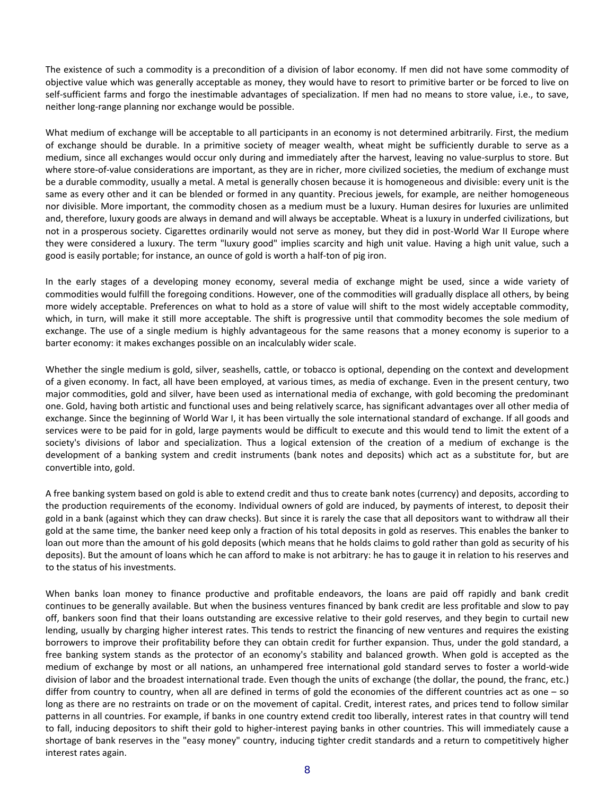The existence of such a commodity is a precondition of a division of labor economy. If men did not have some commodity of objective value which was generally acceptable as money, they would have to resort to primitive barter or be forced to live on self-sufficient farms and forgo the inestimable advantages of specialization. If men had no means to store value, i.e., to save, neither long-range planning nor exchange would be possible.

What medium of exchange will be acceptable to all participants in an economy is not determined arbitrarily. First, the medium of exchange should be durable. In a primitive society of meager wealth, wheat might be sufficiently durable to serve as a medium, since all exchanges would occur only during and immediately after the harvest, leaving no value-surplus to store. But where store-of-value considerations are important, as they are in richer, more civilized societies, the medium of exchange must be a durable commodity, usually a metal. A metal is generally chosen because it is homogeneous and divisible: every unit is the same as every other and it can be blended or formed in any quantity. Precious jewels, for example, are neither homogeneous nor divisible. More important, the commodity chosen as a medium must be a luxury. Human desires for luxuries are unlimited and, therefore, luxury goods are always in demand and will always be acceptable. Wheat is a luxury in underfed civilizations, but not in a prosperous society. Cigarettes ordinarily would not serve as money, but they did in post-World War II Europe where they were considered a luxury. The term "luxury good" implies scarcity and high unit value. Having a high unit value, such a good is easily portable; for instance, an ounce of gold is worth a half-ton of pig iron.

In the early stages of a developing money economy, several media of exchange might be used, since a wide variety of commodities would fulfill the foregoing conditions. However, one of the commodities will gradually displace all others, by being more widely acceptable. Preferences on what to hold as a store of value will shift to the most widely acceptable commodity, which, in turn, will make it still more acceptable. The shift is progressive until that commodity becomes the sole medium of exchange. The use of a single medium is highly advantageous for the same reasons that a money economy is superior to a barter economy: it makes exchanges possible on an incalculably wider scale.

Whether the single medium is gold, silver, seashells, cattle, or tobacco is optional, depending on the context and development of a given economy. In fact, all have been employed, at various times, as media of exchange. Even in the present century, two major commodities, gold and silver, have been used as international media of exchange, with gold becoming the predominant one. Gold, having both artistic and functional uses and being relatively scarce, has significant advantages over all other media of exchange. Since the beginning of World War I, it has been virtually the sole international standard of exchange. If all goods and services were to be paid for in gold, large payments would be difficult to execute and this would tend to limit the extent of a society's divisions of labor and specialization. Thus a logical extension of the creation of a medium of exchange is the development of a banking system and credit instruments (bank notes and deposits) which act as a substitute for, but are convertible into, gold.

A free banking system based on gold is able to extend credit and thus to create bank notes (currency) and deposits, according to the production requirements of the economy. Individual owners of gold are induced, by payments of interest, to deposit their gold in a bank (against which they can draw checks). But since it is rarely the case that all depositors want to withdraw all their gold at the same time, the banker need keep only a fraction of his total deposits in gold as reserves. This enables the banker to loan out more than the amount of his gold deposits (which means that he holds claims to gold rather than gold as security of his deposits). But the amount of loans which he can afford to make is not arbitrary: he has to gauge it in relation to his reserves and to the status of his investments.

When banks loan money to finance productive and profitable endeavors, the loans are paid off rapidly and bank credit continues to be generally available. But when the business ventures financed by bank credit are less profitable and slow to pay off, bankers soon find that their loans outstanding are excessive relative to their gold reserves, and they begin to curtail new lending, usually by charging higher interest rates. This tends to restrict the financing of new ventures and requires the existing borrowers to improve their profitability before they can obtain credit for further expansion. Thus, under the gold standard, a free banking system stands as the protector of an economy's stability and balanced growth. When gold is accepted as the medium of exchange by most or all nations, an unhampered free international gold standard serves to foster a world-wide division of labor and the broadest international trade. Even though the units of exchange (the dollar, the pound, the franc, etc.) differ from country to country, when all are defined in terms of gold the economies of the different countries act as one – so long as there are no restraints on trade or on the movement of capital. Credit, interest rates, and prices tend to follow similar patterns in all countries. For example, if banks in one country extend credit too liberally, interest rates in that country will tend to fall, inducing depositors to shift their gold to higher-interest paying banks in other countries. This will immediately cause a shortage of bank reserves in the "easy money" country, inducing tighter credit standards and a return to competitively higher interest rates again.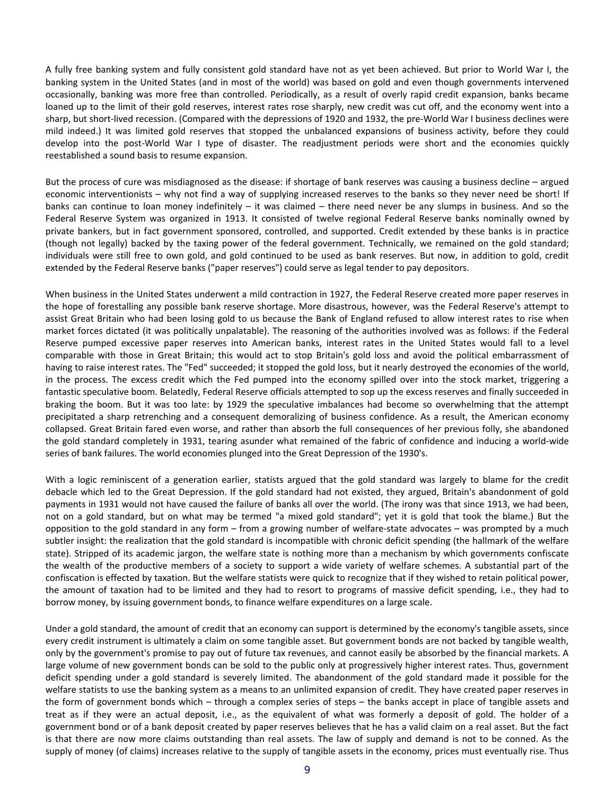A fully free banking system and fully consistent gold standard have not as yet been achieved. But prior to World War I, the banking system in the United States (and in most of the world) was based on gold and even though governments intervened occasionally, banking was more free than controlled. Periodically, as a result of overly rapid credit expansion, banks became loaned up to the limit of their gold reserves, interest rates rose sharply, new credit was cut off, and the economy went into a sharp, but short-lived recession. (Compared with the depressions of 1920 and 1932, the pre-World War I business declines were mild indeed.) It was limited gold reserves that stopped the unbalanced expansions of business activity, before they could develop into the post-World War I type of disaster. The readjustment periods were short and the economies quickly reestablished a sound basis to resume expansion.

But the process of cure was misdiagnosed as the disease: if shortage of bank reserves was causing a business decline – argued economic interventionists – why not find a way of supplying increased reserves to the banks so they never need be short! If banks can continue to loan money indefinitely – it was claimed – there need never be any slumps in business. And so the Federal Reserve System was organized in 1913. It consisted of twelve regional Federal Reserve banks nominally owned by private bankers, but in fact government sponsored, controlled, and supported. Credit extended by these banks is in practice (though not legally) backed by the taxing power of the federal government. Technically, we remained on the gold standard; individuals were still free to own gold, and gold continued to be used as bank reserves. But now, in addition to gold, credit extended by the Federal Reserve banks ("paper reserves") could serve as legal tender to pay depositors.

When business in the United States underwent a mild contraction in 1927, the Federal Reserve created more paper reserves in the hope of forestalling any possible bank reserve shortage. More disastrous, however, was the Federal Reserve's attempt to assist Great Britain who had been losing gold to us because the Bank of England refused to allow interest rates to rise when market forces dictated (it was politically unpalatable). The reasoning of the authorities involved was as follows: if the Federal Reserve pumped excessive paper reserves into American banks, interest rates in the United States would fall to a level comparable with those in Great Britain; this would act to stop Britain's gold loss and avoid the political embarrassment of having to raise interest rates. The "Fed" succeeded; it stopped the gold loss, but it nearly destroyed the economies of the world, in the process. The excess credit which the Fed pumped into the economy spilled over into the stock market, triggering a fantastic speculative boom. Belatedly, Federal Reserve officials attempted to sop up the excess reserves and finally succeeded in braking the boom. But it was too late: by 1929 the speculative imbalances had become so overwhelming that the attempt precipitated a sharp retrenching and a consequent demoralizing of business confidence. As a result, the American economy collapsed. Great Britain fared even worse, and rather than absorb the full consequences of her previous folly, she abandoned the gold standard completely in 1931, tearing asunder what remained of the fabric of confidence and inducing a world-wide series of bank failures. The world economies plunged into the Great Depression of the 1930's.

With a logic reminiscent of a generation earlier, statists argued that the gold standard was largely to blame for the credit debacle which led to the Great Depression. If the gold standard had not existed, they argued, Britain's abandonment of gold payments in 1931 would not have caused the failure of banks all over the world. (The irony was that since 1913, we had been, not on a gold standard, but on what may be termed "a mixed gold standard"; yet it is gold that took the blame.) But the opposition to the gold standard in any form – from a growing number of welfare-state advocates – was prompted by a much subtler insight: the realization that the gold standard is incompatible with chronic deficit spending (the hallmark of the welfare state). Stripped of its academic jargon, the welfare state is nothing more than a mechanism by which governments confiscate the wealth of the productive members of a society to support a wide variety of welfare schemes. A substantial part of the confiscation is effected by taxation. But the welfare statists were quick to recognize that if they wished to retain political power, the amount of taxation had to be limited and they had to resort to programs of massive deficit spending, i.e., they had to borrow money, by issuing government bonds, to finance welfare expenditures on a large scale.

Under a gold standard, the amount of credit that an economy can support is determined by the economy's tangible assets, since every credit instrument is ultimately a claim on some tangible asset. But government bonds are not backed by tangible wealth, only by the government's promise to pay out of future tax revenues, and cannot easily be absorbed by the financial markets. A large volume of new government bonds can be sold to the public only at progressively higher interest rates. Thus, government deficit spending under a gold standard is severely limited. The abandonment of the gold standard made it possible for the welfare statists to use the banking system as a means to an unlimited expansion of credit. They have created paper reserves in the form of government bonds which – through a complex series of steps – the banks accept in place of tangible assets and treat as if they were an actual deposit, i.e., as the equivalent of what was formerly a deposit of gold. The holder of a government bond or of a bank deposit created by paper reserves believes that he has a valid claim on a real asset. But the fact is that there are now more claims outstanding than real assets. The law of supply and demand is not to be conned. As the supply of money (of claims) increases relative to the supply of tangible assets in the economy, prices must eventually rise. Thus